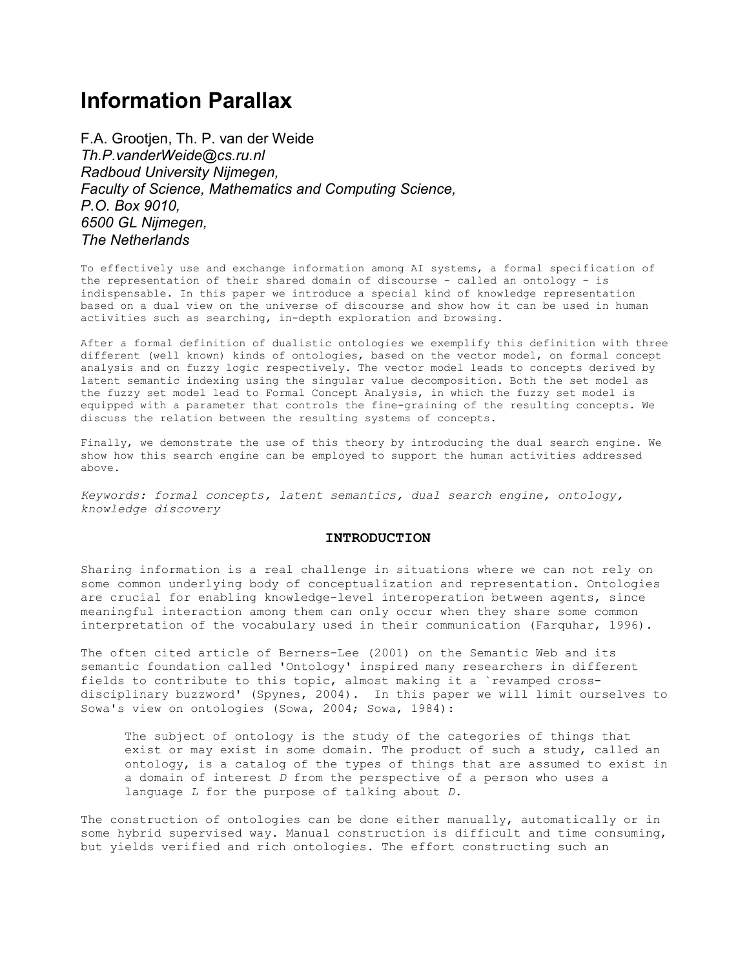# Information Parallax

F.A. Grootjen, Th. P. van der Weide Th.P.vanderWeide@cs.ru.nl Radboud University Nijmegen, Faculty of Science, Mathematics and Computing Science, P.O. Box 9010, 6500 GL Nijmegen, The Netherlands

To effectively use and exchange information among AI systems, a formal specification of the representation of their shared domain of discourse - called an ontology - is indispensable. In this paper we introduce a special kind of knowledge representation based on a dual view on the universe of discourse and show how it can be used in human activities such as searching, in-depth exploration and browsing.

After a formal definition of dualistic ontologies we exemplify this definition with three different (well known) kinds of ontologies, based on the vector model, on formal concept analysis and on fuzzy logic respectively. The vector model leads to concepts derived by latent semantic indexing using the singular value decomposition. Both the set model as the fuzzy set model lead to Formal Concept Analysis, in which the fuzzy set model is equipped with a parameter that controls the fine-graining of the resulting concepts. We discuss the relation between the resulting systems of concepts.

Finally, we demonstrate the use of this theory by introducing the dual search engine. We show how this search engine can be employed to support the human activities addressed above.

Keywords: formal concepts, latent semantics, dual search engine, ontology, knowledge discovery

# INTRODUCTION

Sharing information is a real challenge in situations where we can not rely on some common underlying body of conceptualization and representation. Ontologies are crucial for enabling knowledge-level interoperation between agents, since meaningful interaction among them can only occur when they share some common interpretation of the vocabulary used in their communication (Farquhar, 1996).

The often cited article of Berners-Lee (2001) on the Semantic Web and its semantic foundation called 'Ontology' inspired many researchers in different fields to contribute to this topic, almost making it a `revamped crossdisciplinary buzzword' (Spynes, 2004). In this paper we will limit ourselves to Sowa's view on ontologies (Sowa, 2004; Sowa, 1984):

The subject of ontology is the study of the categories of things that exist or may exist in some domain. The product of such a study, called an ontology, is a catalog of the types of things that are assumed to exist in a domain of interest D from the perspective of a person who uses a language L for the purpose of talking about D.

The construction of ontologies can be done either manually, automatically or in some hybrid supervised way. Manual construction is difficult and time consuming, but yields verified and rich ontologies. The effort constructing such an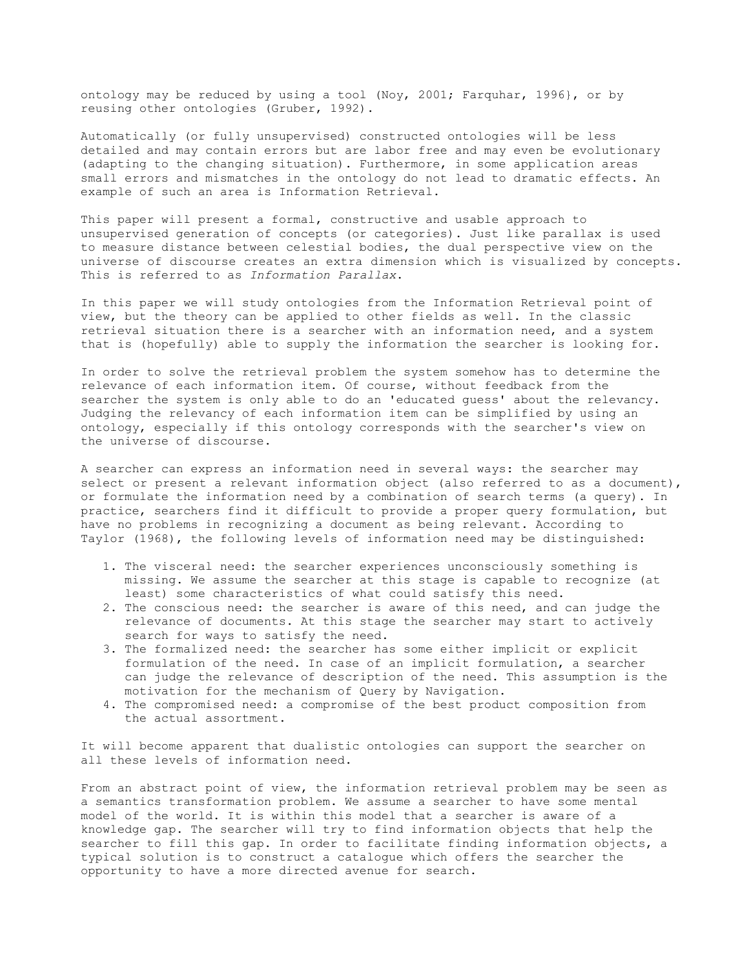ontology may be reduced by using a tool (Noy, 2001; Farquhar, 1996}, or by reusing other ontologies (Gruber, 1992).

Automatically (or fully unsupervised) constructed ontologies will be less detailed and may contain errors but are labor free and may even be evolutionary (adapting to the changing situation). Furthermore, in some application areas small errors and mismatches in the ontology do not lead to dramatic effects. An example of such an area is Information Retrieval.

This paper will present a formal, constructive and usable approach to unsupervised generation of concepts (or categories). Just like parallax is used to measure distance between celestial bodies, the dual perspective view on the universe of discourse creates an extra dimension which is visualized by concepts. This is referred to as Information Parallax.

In this paper we will study ontologies from the Information Retrieval point of view, but the theory can be applied to other fields as well. In the classic retrieval situation there is a searcher with an information need, and a system that is (hopefully) able to supply the information the searcher is looking for.

In order to solve the retrieval problem the system somehow has to determine the relevance of each information item. Of course, without feedback from the searcher the system is only able to do an 'educated guess' about the relevancy. Judging the relevancy of each information item can be simplified by using an ontology, especially if this ontology corresponds with the searcher's view on the universe of discourse.

A searcher can express an information need in several ways: the searcher may select or present a relevant information object (also referred to as a document), or formulate the information need by a combination of search terms (a query). In practice, searchers find it difficult to provide a proper query formulation, but have no problems in recognizing a document as being relevant. According to Taylor (1968), the following levels of information need may be distinguished:

- 1. The visceral need: the searcher experiences unconsciously something is missing. We assume the searcher at this stage is capable to recognize (at least) some characteristics of what could satisfy this need.
- 2. The conscious need: the searcher is aware of this need, and can judge the relevance of documents. At this stage the searcher may start to actively search for ways to satisfy the need.
- 3. The formalized need: the searcher has some either implicit or explicit formulation of the need. In case of an implicit formulation, a searcher can judge the relevance of description of the need. This assumption is the motivation for the mechanism of Query by Navigation.
- 4. The compromised need: a compromise of the best product composition from the actual assortment.

It will become apparent that dualistic ontologies can support the searcher on all these levels of information need.

From an abstract point of view, the information retrieval problem may be seen as a semantics transformation problem. We assume a searcher to have some mental model of the world. It is within this model that a searcher is aware of a knowledge gap. The searcher will try to find information objects that help the searcher to fill this gap. In order to facilitate finding information objects, a typical solution is to construct a catalogue which offers the searcher the opportunity to have a more directed avenue for search.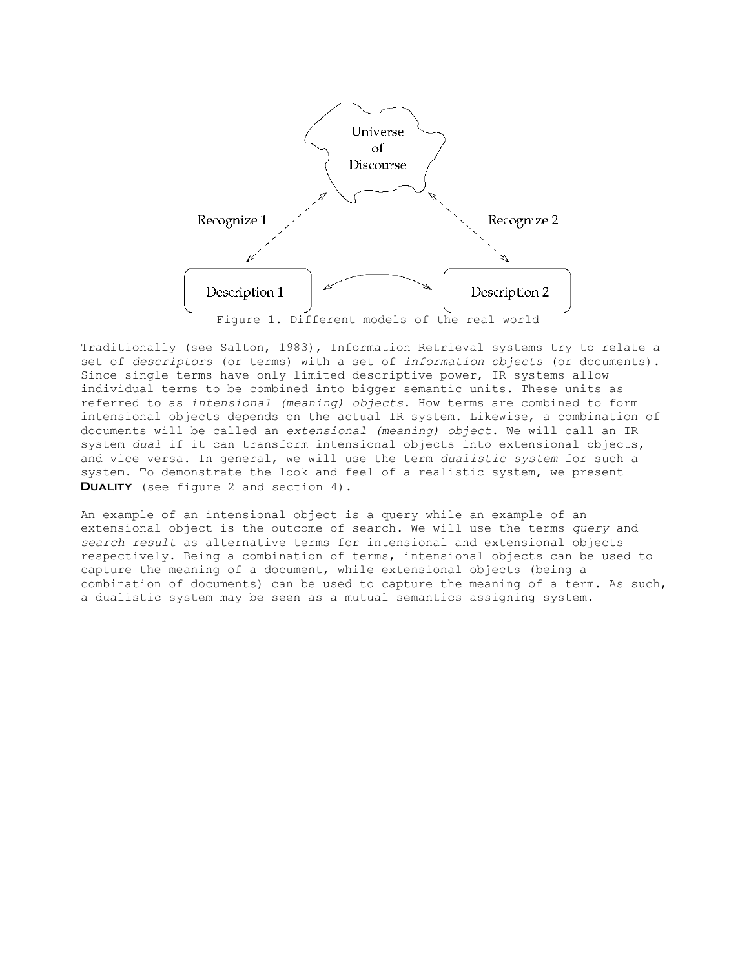

Figure 1. Different models of the real world

Traditionally (see Salton, 1983), Information Retrieval systems try to relate a set of descriptors (or terms) with a set of information objects (or documents). Since single terms have only limited descriptive power, IR systems allow individual terms to be combined into bigger semantic units. These units as referred to as intensional (meaning) objects. How terms are combined to form intensional objects depends on the actual IR system. Likewise, a combination of documents will be called an extensional (meaning) object. We will call an IR system dual if it can transform intensional objects into extensional objects, and vice versa. In general, we will use the term dualistic system for such a system. To demonstrate the look and feel of a realistic system, we present DUALITY (see figure 2 and section 4).

An example of an intensional object is a query while an example of an extensional object is the outcome of search. We will use the terms query and search result as alternative terms for intensional and extensional objects respectively. Being a combination of terms, intensional objects can be used to capture the meaning of a document, while extensional objects (being a combination of documents) can be used to capture the meaning of a term. As such, a dualistic system may be seen as a mutual semantics assigning system.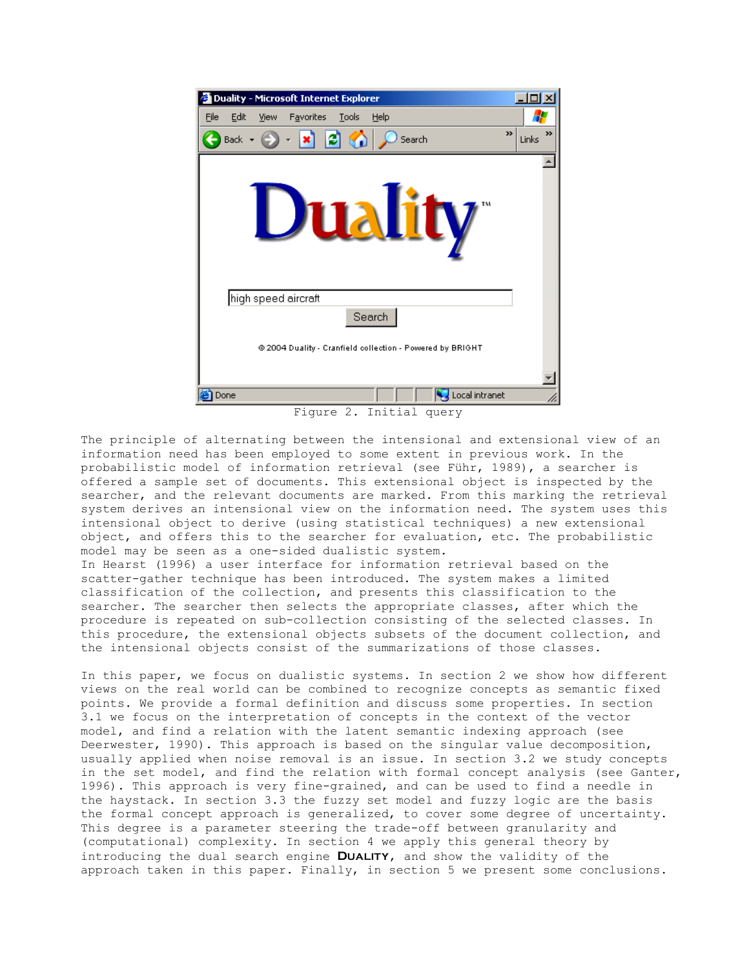| <b>Duality - Microsoft Internet Explorer</b>                     |                                                                 |  |  |  |  |  |
|------------------------------------------------------------------|-----------------------------------------------------------------|--|--|--|--|--|
| Edit<br>Eile<br><b>Favorites</b><br><b>Tools</b><br>Help<br>View |                                                                 |  |  |  |  |  |
| E).<br>) Search<br>Back $\star$                                  | $\boldsymbol{\varkappa}$<br>$\boldsymbol{\mathcal{P}}$<br>Links |  |  |  |  |  |
|                                                                  |                                                                 |  |  |  |  |  |
|                                                                  |                                                                 |  |  |  |  |  |
| TM                                                               |                                                                 |  |  |  |  |  |
| <b>Dua</b>                                                       |                                                                 |  |  |  |  |  |
|                                                                  |                                                                 |  |  |  |  |  |
|                                                                  |                                                                 |  |  |  |  |  |
|                                                                  |                                                                 |  |  |  |  |  |
| high speed aircraft                                              |                                                                 |  |  |  |  |  |
| Search                                                           |                                                                 |  |  |  |  |  |
| @ 2004 Duality - Cranfield collection - Powered by BRIGHT        |                                                                 |  |  |  |  |  |
|                                                                  |                                                                 |  |  |  |  |  |
|                                                                  |                                                                 |  |  |  |  |  |
| Local intranet<br>Done                                           | h,                                                              |  |  |  |  |  |
| 2. Initial<br>Figure<br>query                                    |                                                                 |  |  |  |  |  |

The principle of alternating between the intensional and extensional view of an information need has been employed to some extent in previous work. In the probabilistic model of information retrieval (see Führ, 1989), a searcher is offered a sample set of documents. This extensional object is inspected by the searcher, and the relevant documents are marked. From this marking the retrieval system derives an intensional view on the information need. The system uses this intensional object to derive (using statistical techniques) a new extensional object, and offers this to the searcher for evaluation, etc. The probabilistic model may be seen as a one-sided dualistic system.

In Hearst (1996) a user interface for information retrieval based on the scatter-gather technique has been introduced. The system makes a limited classification of the collection, and presents this classification to the searcher. The searcher then selects the appropriate classes, after which the procedure is repeated on sub-collection consisting of the selected classes. In this procedure, the extensional objects subsets of the document collection, and the intensional objects consist of the summarizations of those classes.

In this paper, we focus on dualistic systems. In section 2 we show how different views on the real world can be combined to recognize concepts as semantic fixed points. We provide a formal definition and discuss some properties. In section 3.1 we focus on the interpretation of concepts in the context of the vector model, and find a relation with the latent semantic indexing approach (see Deerwester, 1990). This approach is based on the singular value decomposition, usually applied when noise removal is an issue. In section 3.2 we study concepts in the set model, and find the relation with formal concept analysis (see Ganter, 1996). This approach is very fine-grained, and can be used to find a needle in the haystack. In section 3.3 the fuzzy set model and fuzzy logic are the basis the formal concept approach is generalized, to cover some degree of uncertainty. This degree is a parameter steering the trade-off between granularity and (computational) complexity. In section 4 we apply this general theory by introducing the dual search engine **DUALITY**, and show the validity of the approach taken in this paper. Finally, in section 5 we present some conclusions.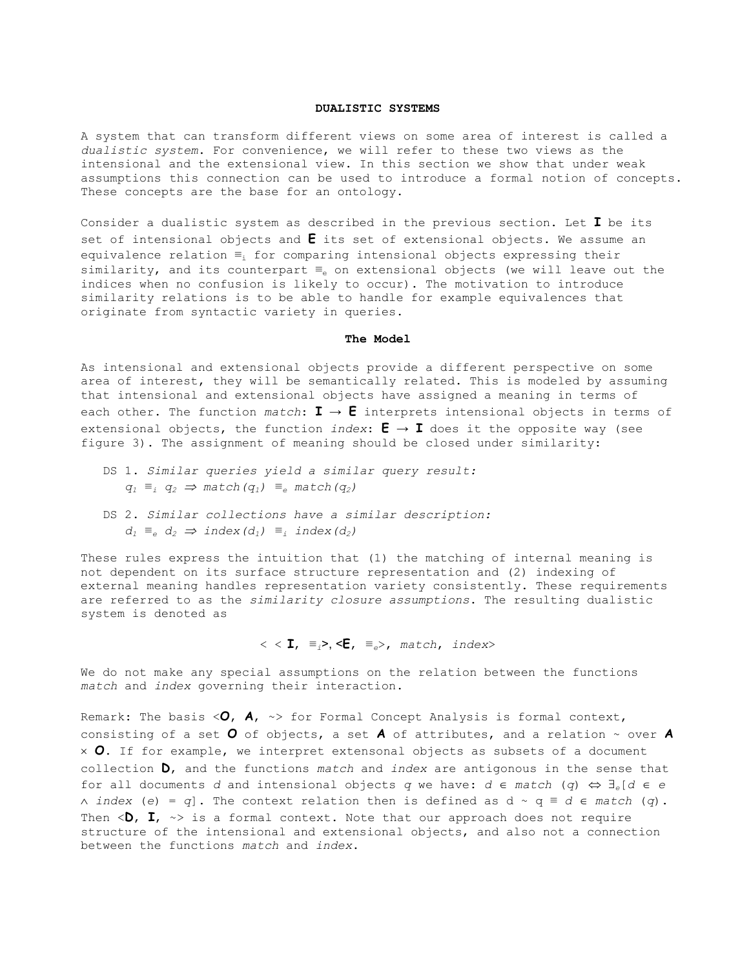# DUALISTIC SYSTEMS

A system that can transform different views on some area of interest is called a dualistic system. For convenience, we will refer to these two views as the intensional and the extensional view. In this section we show that under weak assumptions this connection can be used to introduce a formal notion of concepts. These concepts are the base for an ontology.

Consider a dualistic system as described in the previous section. Let  $I$  be its set of intensional objects and  $E$  its set of extensional objects. We assume an equivalence relation  $\equiv_i$  for comparing intensional objects expressing their similarity, and its counterpart ≡e on extensional objects (we will leave out the indices when no confusion is likely to occur). The motivation to introduce similarity relations is to be able to handle for example equivalences that originate from syntactic variety in queries.

#### The Model

As intensional and extensional objects provide a different perspective on some area of interest, they will be semantically related. This is modeled by assuming that intensional and extensional objects have assigned a meaning in terms of each other. The function match:  $I \rightarrow E$  interprets intensional objects in terms of extensional objects, the function index:  $E \rightarrow I$  does it the opposite way (see figure 3). The assignment of meaning should be closed under similarity:

- DS 1. Similar queries yield a similar query result:  $q_1 \equiv_i q_2 \Rightarrow$  match( $q_1$ )  $\equiv_e$  match( $q_2$ )
- DS 2. Similar collections have a similar description:  $d_1 \equiv_e d_2 \Rightarrow \text{index}(d_1) \equiv_i \text{ index}(d_2)$

These rules express the intuition that (1) the matching of internal meaning is not dependent on its surface structure representation and (2) indexing of external meaning handles representation variety consistently. These requirements are referred to as the similarity closure assumptions. The resulting dualistic system is denoted as

 $\langle \langle \xi, \xi \rangle \rangle = \langle \xi, \xi \rangle = \langle \xi, \xi \rangle$ , match, index>

We do not make any special assumptions on the relation between the functions match and index governing their interaction.

Remark: The basis  $\langle 0, A \rangle$   $\rightarrow$  for Formal Concept Analysis is formal context, consisting of a set  $O$  of objects, a set  $A$  of attributes, and a relation  $\sim$  over  $A$  $\times$  O. If for example, we interpret extensonal objects as subsets of a document collection  $D$ , and the functions match and index are antigonous in the sense that for all documents d and intensional objects q we have:  $d \in match (q) \Leftrightarrow \exists_e[d \in e]$  $\wedge$  index (e) = q]. The context relation then is defined as  $d \sim q \equiv d \in \mathbb{R}$ Then  $\langle \mathbf{D}, \mathbf{I}, \rangle$  is a formal context. Note that our approach does not require structure of the intensional and extensional objects, and also not a connection between the functions match and index.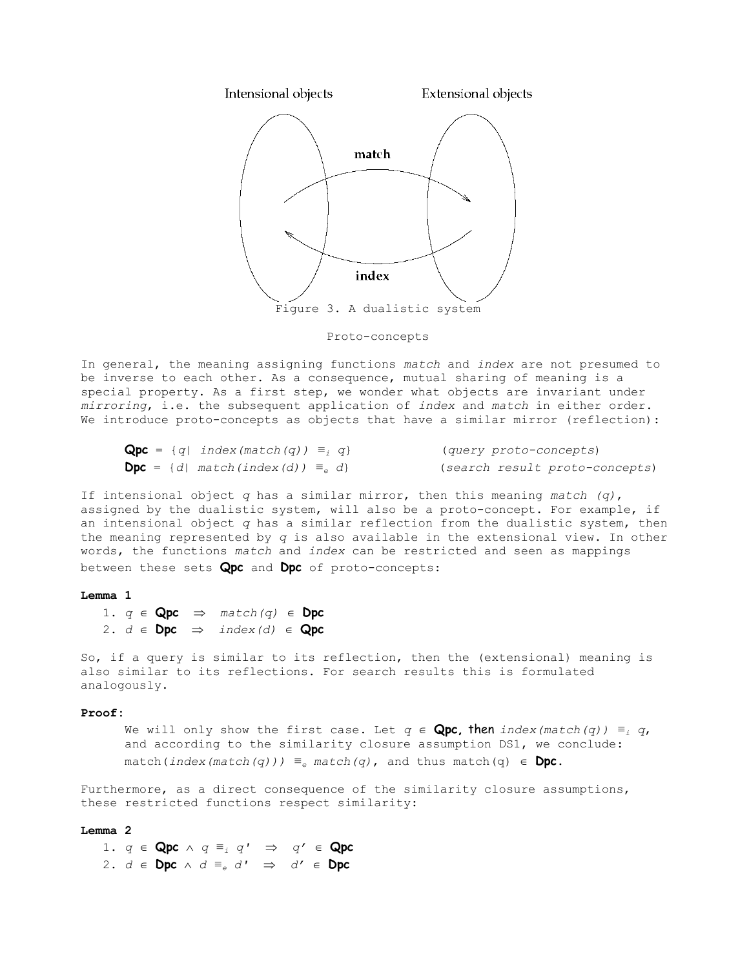

Proto-concepts

In general, the meaning assigning functions match and index are not presumed to be inverse to each other. As a consequence, mutual sharing of meaning is a special property. As a first step, we wonder what objects are invariant under mirroring, i.e. the subsequent application of index and match in either order. We introduce proto-concepts as objects that have a similar mirror (reflection):

|  | $\text{Qpc} = \{q   \text{ index}(\text{match}(q)) \equiv_i q\}$ | (query proto-concepts)         |
|--|------------------------------------------------------------------|--------------------------------|
|  | <b>Dpc</b> = {d  match(index(d)) $\equiv_e$ d}                   | (search result proto-concepts) |

If intensional object  $q$  has a similar mirror, then this meaning match  $(q)$ , assigned by the dualistic system, will also be a proto-concept. For example, if an intensional object  $q$  has a similar reflection from the dualistic system, then the meaning represented by q is also available in the extensional view. In other words, the functions match and index can be restricted and seen as mappings between these sets **Qpc** and **Dpc** of proto-concepts:

### Lemma 1

```
1. q \in \mathbf{Qpc} \Rightarrow \text{match}(q) \in \mathbf{Dpc}2. d \in \text{Dpc} \Rightarrow \text{index}(d) \in \text{Qpc}
```
So, if a query is similar to its reflection, then the (extensional) meaning is also similar to its reflections. For search results this is formulated analogously.

### Proof:

We will only show the first case. Let  $q \in \mathbf{Qpc}$ , then index(match(q))  $\equiv_i q_i$ , and according to the similarity closure assumption DS1, we conclude: match(index(match(q)))  $\equiv_e$  match(q), and thus match(q)  $\in$  Dpc.

Furthermore, as a direct consequence of the similarity closure assumptions, these restricted functions respect similarity:

#### Lemma 2

1.  $q \in \mathbf{Qpc} \land q \equiv_i q' \Rightarrow q' \in \mathbf{Qpc}$ 2.  $d \in$  Dpc  $\land$   $d \equiv_e d' \Rightarrow d' \in$  Dpc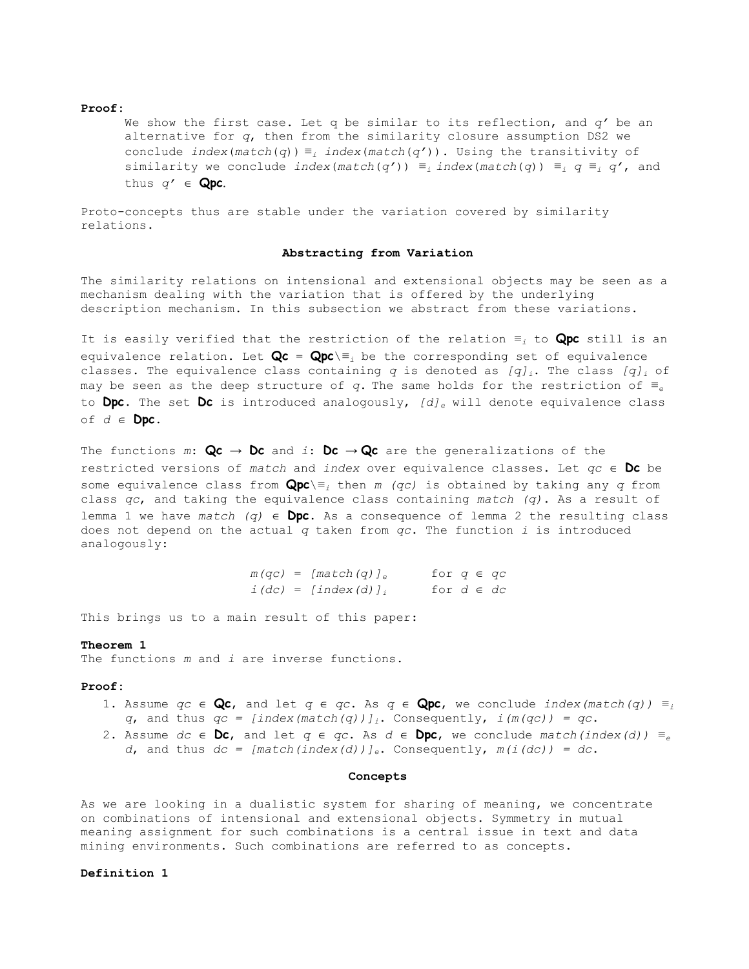#### Proof:

We show the first case. Let q be similar to its reflection, and  $q'$  be an alternative for  $q$ , then from the similarity closure assumption DS2 we conclude index(match(q))  $\equiv_i$  index(match(q')). Using the transitivity of similarity we conclude index(match(q'))  $\equiv_i$  index(match(q))  $\equiv_i$  q  $\equiv_i$  q', and thus  $q' \in$  Qpc.

Proto-concepts thus are stable under the variation covered by similarity relations.

#### Abstracting from Variation

The similarity relations on intensional and extensional objects may be seen as a mechanism dealing with the variation that is offered by the underlying description mechanism. In this subsection we abstract from these variations.

It is easily verified that the restriction of the relation  $\equiv_i$  to Qpc still is an equivalence relation. Let  $\mathbf{Qc} = \mathbf{Qpc} \setminus \equiv_i$  be the corresponding set of equivalence classes. The equivalence class containing q is denoted as  $[q]_i$ . The class  $[q]_i$  of may be seen as the deep structure of q. The same holds for the restriction of  $\equiv_e$ to **Dpc.** The set Dc is introduced analogously,  $\left[d\right]_e$  will denote equivalence class of  $d \in$  Dpc.

The functions m:  $Qc \rightarrow Dc$  and i:  $Dc \rightarrow Qc$  are the generalizations of the restricted versions of match and index over equivalence classes. Let  $qc \in \mathbf{Dc}$  be some equivalence class from  $\mathbf{Qpc}\equiv_i$  then m (qc) is obtained by taking any q from class  $qc$ , and taking the equivalence class containing match  $(q)$ . As a result of lemma 1 we have match  $(q) \in$  Dpc. As a consequence of lemma 2 the resulting class does not depend on the actual  $q$  taken from  $qc$ . The function i is introduced analogously:

> $m(qc) = [match(q)]_e$  for  $q \in qc$  $i$ (dc) = [index(d)]<sub>i</sub> for d  $\in$  dc

This brings us to a main result of this paper:

#### Theorem 1

The functions m and i are inverse functions.

# Proof:

- 1. Assume  $qc \in \mathbf{Qc}$ , and let  $q \in qc$ . As  $q \in \mathbf{Qpc}$ , we conclude index(match(q))  $\equiv_i$  $q$ , and thus  $qc = [index(maxch(q))]_i$ . Consequently,  $i(m(qc)) = qc$ .
- 2. Assume dc  $\in$  **Dc**, and let  $q \in qc$ . As d  $\in$  **Dpc**, we conclude match(index(d))  $\equiv_e$ d, and thus  $dc = [match(index(d))]_e$ . Consequently,  $m(i(dc)) = dc$ .

### Concepts

As we are looking in a dualistic system for sharing of meaning, we concentrate on combinations of intensional and extensional objects. Symmetry in mutual meaning assignment for such combinations is a central issue in text and data mining environments. Such combinations are referred to as concepts.

# Definition 1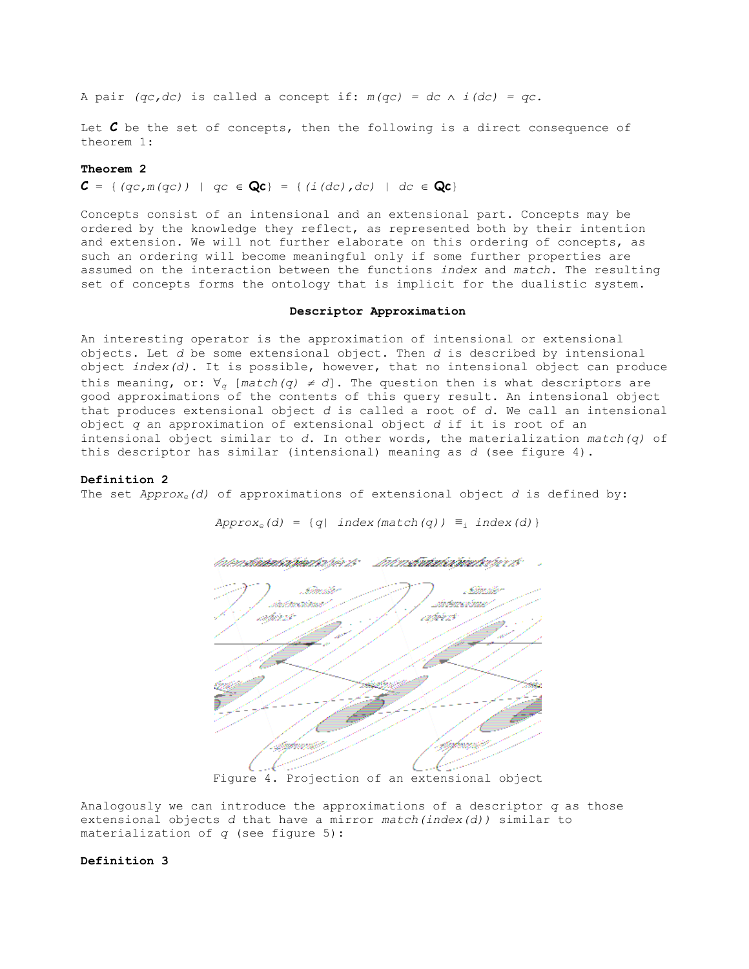A pair  $(qc, dc)$  is called a concept if:  $m(qc) = dc \wedge i(dc) = qc$ .

Let  $C$  be the set of concepts, then the following is a direct consequence of theorem 1:

# Theorem 2

 $C = \{ (qc, m(qc)) \mid qc \in QC \} = \{ (i(dc),dc) \mid dc \in QC \}$ 

Concepts consist of an intensional and an extensional part. Concepts may be ordered by the knowledge they reflect, as represented both by their intention and extension. We will not further elaborate on this ordering of concepts, as such an ordering will become meaningful only if some further properties are assumed on the interaction between the functions index and match. The resulting set of concepts forms the ontology that is implicit for the dualistic system.

# Descriptor Approximation

An interesting operator is the approximation of intensional or extensional objects. Let  $d$  be some extensional object. Then  $d$  is described by intensional object index $(d)$ . It is possible, however, that no intensional object can produce this meaning, or:  $\forall_{q}$  [match(q)  $\neq$  d]. The question then is what descriptors are good approximations of the contents of this query result. An intensional object that produces extensional object d is called a root of d. We call an intensional object  $q$  an approximation of extensional object  $d$  if it is root of an intensional object similar to  $d$ . In other words, the materialization match(q) of this descriptor has similar (intensional) meaning as  $d$  (see figure 4).

# Definition 2

The set  $Approx_e(d)$  of approximations of extensional object d is defined by:

Approx<sub>e</sub>(d) = {q| index(match(q))  $\equiv$ <sub>i</sub> index(d)}



Figure 4. Projection of an extensional object

Analogously we can introduce the approximations of a descriptor  $q$  as those extensional objects  $d$  that have a mirror match(index(d)) similar to materialization of  $q$  (see figure 5):

# Definition 3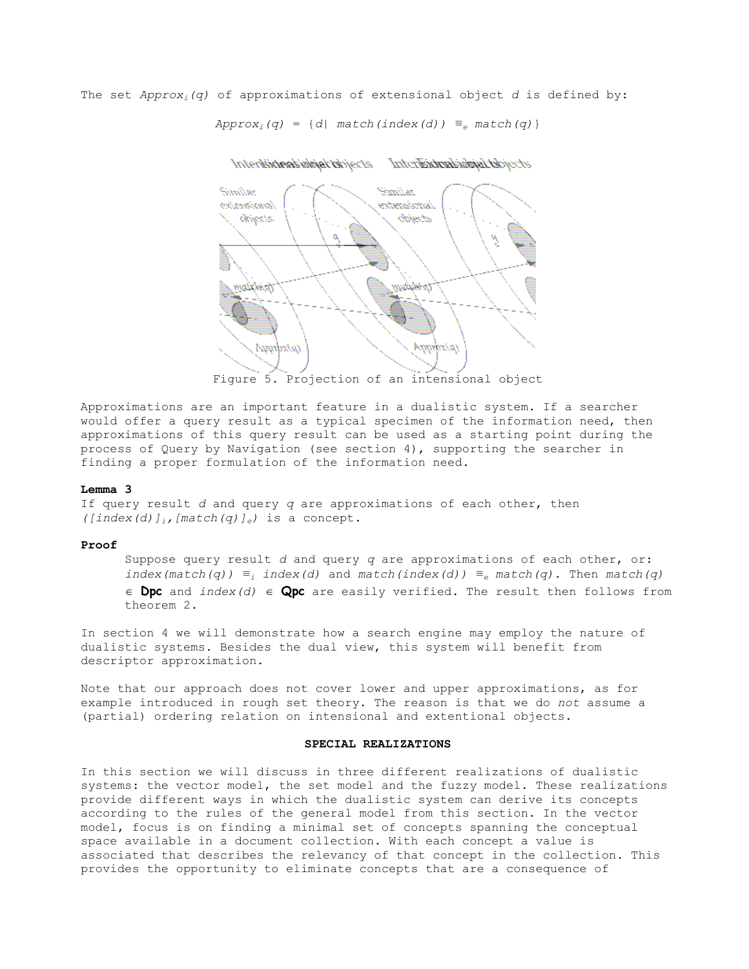The set  $Approx_i(q)$  of approximations of extensional object d is defined by:



Approx<sub>i</sub>(q) = {d| match(index(d))  $\equiv_e$  match(q)}

Approximations are an important feature in a dualistic system. If a searcher would offer a query result as a typical specimen of the information need, then approximations of this query result can be used as a starting point during the process of Query by Navigation (see section 4), supporting the searcher in finding a proper formulation of the information need.

### Lemma 3

If query result  $d$  and query  $q$  are approximations of each other, then ([index(d)]<sub>i</sub>,[match(q)]<sub>e</sub>) is a concept.

#### Proof

Suppose query result d and query q are approximations of each other, or: index(match(q))  $\equiv_i$  index(d) and match(index(d))  $\equiv_e$  match(q). Then match(q)  $∈$  **Dpc** and *index(d)*  $∈$  **Qpc** are easily verified. The result then follows from theorem 2.

In section 4 we will demonstrate how a search engine may employ the nature of dualistic systems. Besides the dual view, this system will benefit from descriptor approximation.

Note that our approach does not cover lower and upper approximations, as for example introduced in rough set theory. The reason is that we do not assume a (partial) ordering relation on intensional and extentional objects.

## SPECIAL REALIZATIONS

In this section we will discuss in three different realizations of dualistic systems: the vector model, the set model and the fuzzy model. These realizations provide different ways in which the dualistic system can derive its concepts according to the rules of the general model from this section. In the vector model, focus is on finding a minimal set of concepts spanning the conceptual space available in a document collection. With each concept a value is associated that describes the relevancy of that concept in the collection. This provides the opportunity to eliminate concepts that are a consequence of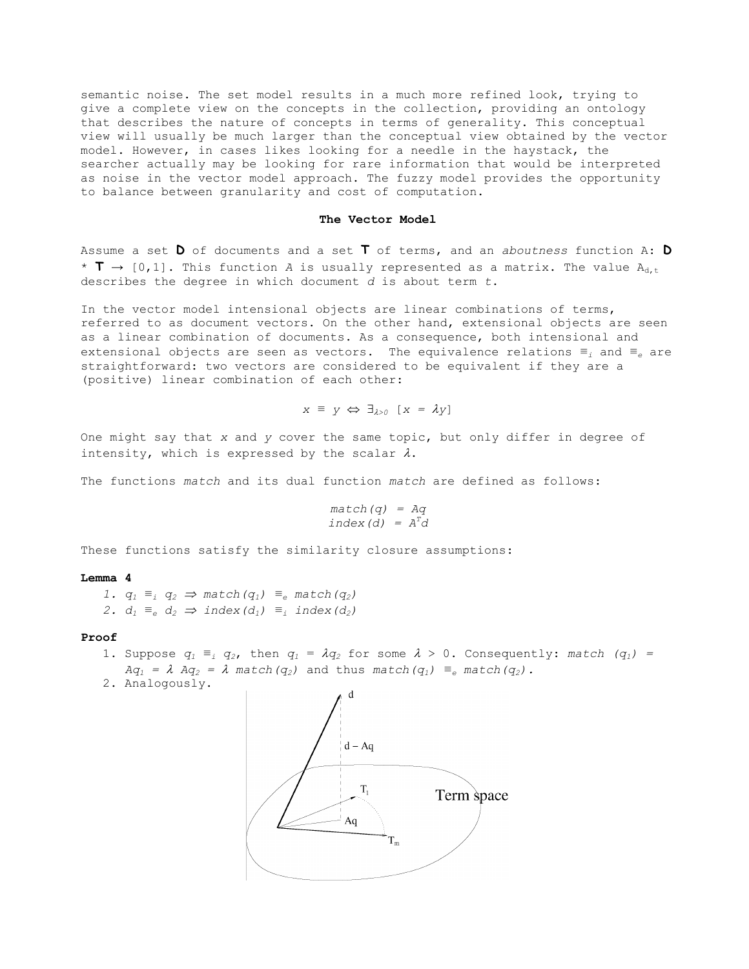semantic noise. The set model results in a much more refined look, trying to give a complete view on the concepts in the collection, providing an ontology that describes the nature of concepts in terms of generality. This conceptual view will usually be much larger than the conceptual view obtained by the vector model. However, in cases likes looking for a needle in the haystack, the searcher actually may be looking for rare information that would be interpreted as noise in the vector model approach. The fuzzy model provides the opportunity to balance between granularity and cost of computation.

#### The Vector Model

Assume a set  $\mathsf D$  of documents and a set  $\mathsf T$  of terms, and an aboutness function A:  $\mathsf D$ \*  $\mathsf{T}$   $\rightarrow$  [0,1]. This function A is usually represented as a matrix. The value  $A_{d,t}$ describes the degree in which document  $d$  is about term  $t$ .

In the vector model intensional objects are linear combinations of terms, referred to as document vectors. On the other hand, extensional objects are seen as a linear combination of documents. As a consequence, both intensional and extensional objects are seen as vectors. The equivalence relations  $\equiv_i$  and  $\equiv_e$  are straightforward: two vectors are considered to be equivalent if they are a (positive) linear combination of each other:

$$
x \equiv y \Leftrightarrow \exists_{\lambda>0} [x = \lambda y]
$$

One might say that  $x$  and  $y$  cover the same topic, but only differ in degree of intensity, which is expressed by the scalar  $\lambda$ .

The functions match and its dual function match are defined as follows:

$$
match(q) = Aq
$$
  

$$
index(d) = ATd
$$

These functions satisfy the similarity closure assumptions:

### Lemma 4

1.  $q_1 \equiv_i q_2 \Rightarrow$  match( $q_1$ )  $\equiv_e$  match( $q_2$ ) 2.  $d_1 \equiv_e d_2 \Rightarrow \text{index}(d_1) \equiv_i \text{ index}(d_2)$ 

### Proof

- 1. Suppose  $q_1 \equiv_i q_2$ , then  $q_1 = \lambda q_2$  for some  $\lambda > 0$ . Consequently: match  $(q_1)$  =  $Aq_1 = \lambda Aq_2 = \lambda$  match(q<sub>2</sub>) and thus match(q<sub>1</sub>) = match(q<sub>2</sub>).
- 2. Analogously.

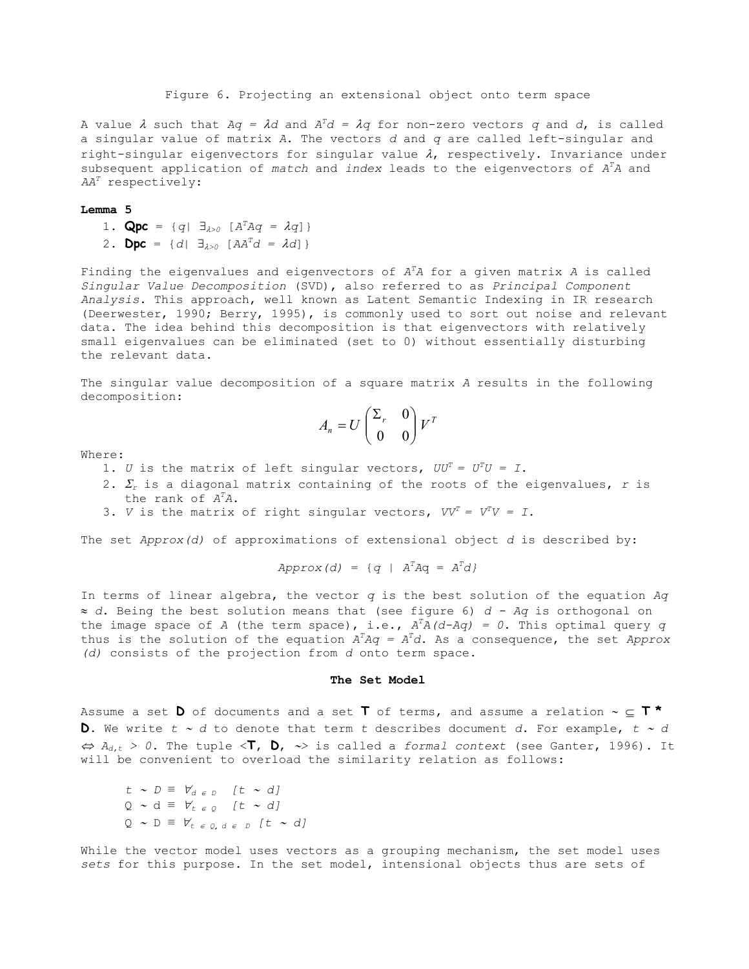A value  $\lambda$  such that  $Aq$  =  $\lambda$ d and  $A^Td$  =  $\lambda q$  for non-zero vectors  $q$  and  $d$ , is called a singular value of matrix  $A$ . The vectors  $d$  and  $q$  are called left-singular and right-singular eigenvectors for singular value  $\lambda$ , respectively. Invariance under subsequent application of match and index leads to the eigenvectors of  $A^T A$  and  $AA<sup>T</sup>$  respectively:

# Lemma 5

1. Qpc =  $\{q | \exists_{\lambda>0} [A^T A q = \lambda q] \}$ 2. **Dpc** = {d|  $\exists_{\lambda>0}$  [AA<sup>T</sup>d =  $\lambda$ d] }

Finding the eigenvalues and eigenvectors of  $A^T A$  for a given matrix  $A$  is called Singular Value Decomposition (SVD), also referred to as Principal Component Analysis. This approach, well known as Latent Semantic Indexing in IR research (Deerwester, 1990; Berry, 1995), is commonly used to sort out noise and relevant data. The idea behind this decomposition is that eigenvectors with relatively small eigenvalues can be eliminated (set to 0) without essentially disturbing the relevant data.

The singular value decomposition of a square matrix A results in the following decomposition:

$$
A_n = U \begin{pmatrix} \Sigma_r & 0 \\ 0 & 0 \end{pmatrix} V^T
$$

Where:

- 1. U is the matrix of left singular vectors,  $UU^T = U^TU = I$ .
- 2.  $\Sigma_r$  is a diagonal matrix containing of the roots of the eigenvalues, r is the rank of  $A^T A$ .
- 3. V is the matrix of right singular vectors,  $VV^T = V^TV = I$ .

The set  $Approx(d)$  of approximations of extensional object d is described by:

$$
Approx(d) = \{ q \mid A^T A q = A^T d \}
$$

In terms of linear algebra, the vector  $q$  is the best solution of the equation  $Aq$  $\approx$  d. Being the best solution means that (see figure 6) d - Aq is orthogonal on the image space of A (the term space), i.e.,  $A^{T}A$ (d-Aq) = 0. This optimal query q thus is the solution of the equation  $A^T A q = A^T d$ . As a consequence, the set Approx (d) consists of the projection from d onto term space.

# The Set Model

Assume a set D of documents and a set T of terms, and assume a relation  $\sim \subseteq T$  \* D. We write  $t ∼ d$  to denote that term  $t$  describes document  $d$ . For example,  $t ∼ d$  $\Leftrightarrow$  A<sub>d,t</sub> > 0. The tuple <**T**, **D**, ~> is called a formal context (see Ganter, 1996). It will be convenient to overload the similarity relation as follows:

 $t \sim D \equiv V_{d \epsilon D}$  [t ∼ d]  $Q \sim d \equiv V_{t \epsilon 0}$  [t ~ d]  $Q \sim D \equiv V_{t \epsilon Q, d \epsilon D}$  [t ~ d]

While the vector model uses vectors as a grouping mechanism, the set model uses sets for this purpose. In the set model, intensional objects thus are sets of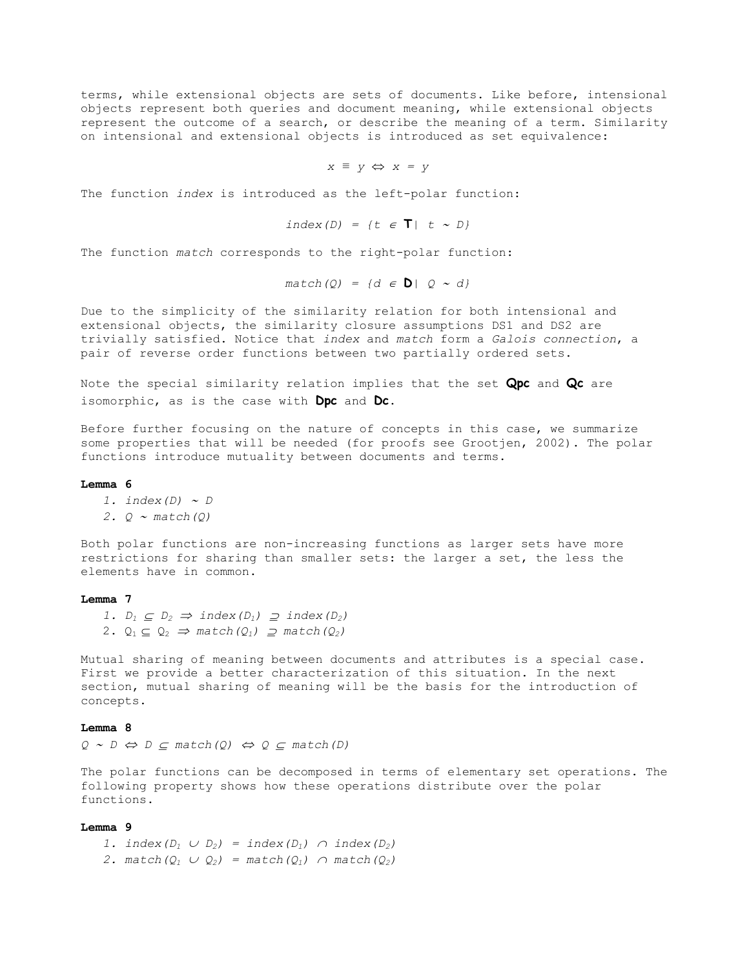terms, while extensional objects are sets of documents. Like before, intensional objects represent both queries and document meaning, while extensional objects represent the outcome of a search, or describe the meaning of a term. Similarity on intensional and extensional objects is introduced as set equivalence:

$$
x \equiv y \Leftrightarrow x = y
$$

The function index is introduced as the left-polar function:

$$
index(D) = \{ t \in T | t \sim D \}
$$

The function match corresponds to the right-polar function:

$$
\text{match}(Q) = \{d \in \mathbf{D} \mid Q \sim d\}
$$

Due to the simplicity of the similarity relation for both intensional and extensional objects, the similarity closure assumptions DS1 and DS2 are trivially satisfied. Notice that index and match form a Galois connection, a pair of reverse order functions between two partially ordered sets.

Note the special similarity relation implies that the set Qpc and Qc are isomorphic, as is the case with Dpc and Dc.

Before further focusing on the nature of concepts in this case, we summarize some properties that will be needed (for proofs see Grootjen, 2002). The polar functions introduce mutuality between documents and terms.

## Lemma 6

1. index(D)  $\sim D$ 2.  $Q \sim \text{match}(Q)$ 

Both polar functions are non-increasing functions as larger sets have more restrictions for sharing than smaller sets: the larger a set, the less the elements have in common.

# Lemma 7

1.  $D_1 \subseteq D_2 \Rightarrow \text{index}(D_1) \supseteq \text{index}(D_2)$ 2.  $Q_1 \subseteq Q_2 \implies \text{match}(Q_1) \supseteq \text{match}(Q_2)$ 

Mutual sharing of meaning between documents and attributes is a special case. First we provide a better characterization of this situation. In the next section, mutual sharing of meaning will be the basis for the introduction of concepts.

#### Lemma 8

 $Q \sim D \Leftrightarrow D \subseteq \text{match}(Q) \Leftrightarrow Q \subseteq \text{match}(D)$ 

The polar functions can be decomposed in terms of elementary set operations. The following property shows how these operations distribute over the polar functions.

# Lemma 9

- 1. index( $D_1 \cup D_2$ ) = index( $D_1$ )  $\cap$  index( $D_2$ )
- 2. match( $Q_1 \cup Q_2$ ) = match( $Q_1$ )  $\cap$  match( $Q_2$ )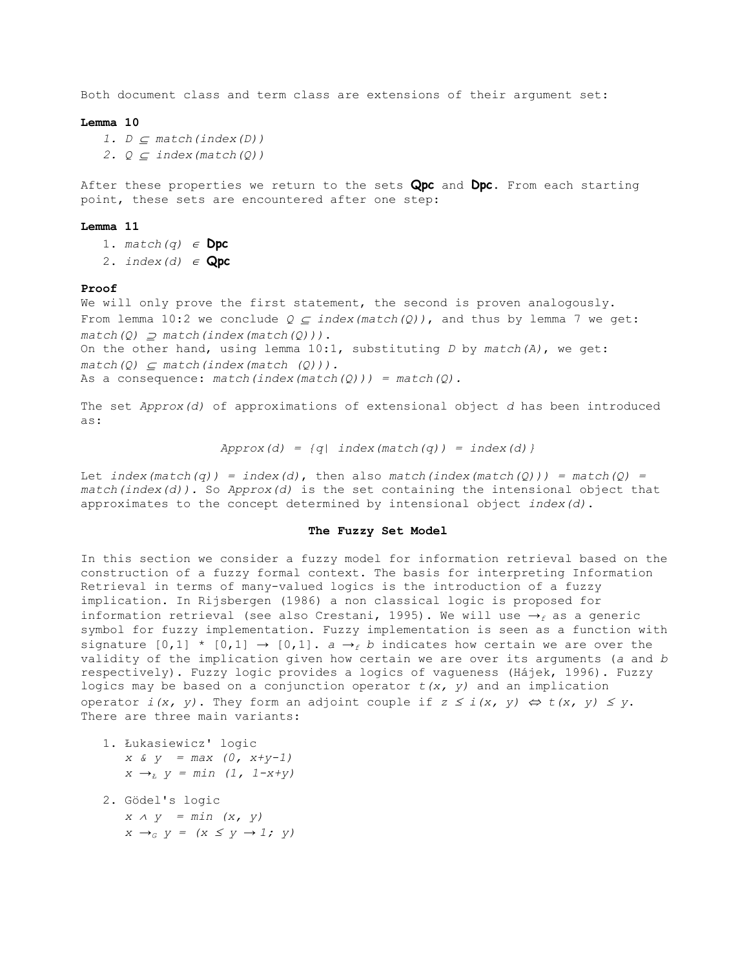Both document class and term class are extensions of their argument set:

# Lemma 10

1.  $D \subset \text{match}(index(D))$ 

2.  $Q \subseteq \text{index}(\text{match}(Q))$ 

After these properties we return to the sets Qpc and Dpc. From each starting point, these sets are encountered after one step:

#### Lemma 11

- 1. match(q)  $\in$  Dpc
- 2. index(d)  $\in$  Qpc

# Proof

We will only prove the first statement, the second is proven analogously. From lemma 10:2 we conclude  $Q \subseteq \text{index}(\text{match}(Q))$ , and thus by lemma 7 we get:  $match(Q) \supseteq match(index(maxch(Q)))$ .

On the other hand, using lemma  $10:1$ , substituting D by match(A), we get:  $match(Q) \subseteq match(index(match(Q))).$ 

As a consequence:  $match(index(match(Q))) = match(Q)$ .

The set  $Approx(d)$  of approximations of extensional object d has been introduced as:

$$
Approx(d) = \{q | index(maxch(q)) = index(d) \}
$$

Let index(match(q)) = index(d), then also match(index(match(Q))) = match(Q) =  $match(inted))$ . So  $Approx(d)$  is the set containing the intensional object that approximates to the concept determined by intensional object index(d).

## The Fuzzy Set Model

In this section we consider a fuzzy model for information retrieval based on the construction of a fuzzy formal context. The basis for interpreting Information Retrieval in terms of many-valued logics is the introduction of a fuzzy implication. In Rijsbergen (1986) a non classical logic is proposed for information retrieval (see also Crestani, 1995). We will use  $\rightarrow_f$  as a generic symbol for fuzzy implementation. Fuzzy implementation is seen as a function with signature  $[0,1]$  \*  $[0,1]$   $\rightarrow$   $[0,1]$ . a  $\rightarrow$   $\rightarrow$  b indicates how certain we are over the validity of the implication given how certain we are over its arguments (a and b respectively). Fuzzy logic provides a logics of vagueness (Hájek, 1996). Fuzzy logics may be based on a conjunction operator  $t(x, y)$  and an implication operator  $i(x, y)$ . They form an adjoint couple if  $z \le i(x, y) \Leftrightarrow t(x, y) \le y$ . There are three main variants:

- 1. Łukasiewicz' logic  $x \& y = max (0, x+y-1)$  $x \rightarrow_L y = min (1, 1-x+y)$
- 2. Gödel's logic  $x \wedge y = \min (x, y)$  $x \rightarrow_G y = (x \le y \rightarrow 1; y)$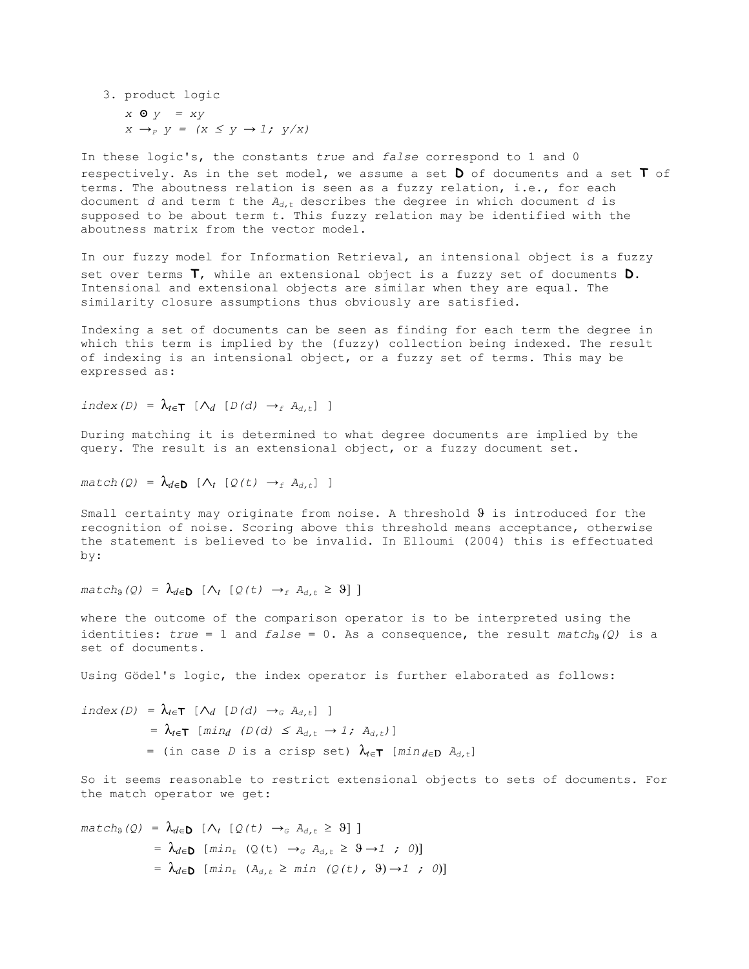3. product logic

 $x \bullet y = xy$  $x \rightarrow_{P} y = (x \le y \rightarrow 1; y/x)$ 

In these logic's, the constants true and false correspond to 1 and 0 respectively. As in the set model, we assume a set  $\mathbf D$  of documents and a set  $\mathbf T$  of terms. The aboutness relation is seen as a fuzzy relation, i.e., for each document d and term t the  $A_{d,t}$  describes the degree in which document d is supposed to be about term  $t$ . This fuzzy relation may be identified with the aboutness matrix from the vector model.

In our fuzzy model for Information Retrieval, an intensional object is a fuzzy set over terms  $\mathsf{T}$ , while an extensional object is a fuzzy set of documents  $\mathsf{D}$ . Intensional and extensional objects are similar when they are equal. The similarity closure assumptions thus obviously are satisfied.

Indexing a set of documents can be seen as finding for each term the degree in which this term is implied by the (fuzzy) collection being indexed. The result of indexing is an intensional object, or a fuzzy set of terms. This may be expressed as:

index(D) =  $\lambda_{t \in \mathbf{T}}$  [ $\Lambda_d$  [D(d)  $\rightarrow_f$   $A_{d,t}$ ] ]

During matching it is determined to what degree documents are implied by the query. The result is an extensional object, or a fuzzy document set.

 $match(Q) = \lambda_{d\in\mathbf{D}} [\Lambda_t [Q(t) \rightarrow_{f} A_{d,t}] ]$ 

Small certainty may originate from noise. A threshold  $9$  is introduced for the recognition of noise. Scoring above this threshold means acceptance, otherwise the statement is believed to be invalid. In Elloumi (2004) this is effectuated by:

 $match_{9}(Q) = \lambda_{d\in\mathbf{D}} [\Lambda_{t} [Q(t) \rightarrow_{f} A_{d,t} \geq 9] ]$ 

where the outcome of the comparison operator is to be interpreted using the identities: true = 1 and false = 0. As a consequence, the result match<sub>9</sub>( $Q$ ) is a set of documents.

Using Gödel's logic, the index operator is further elaborated as follows:

$$
index(D) = \lambda_{t \in \mathbf{T}} [\Lambda_d [D(d) \to_{G} A_{d,t}] ]
$$
  
=  $\lambda_{t \in \mathbf{T}} [min_d (D(d) \le A_{d,t} \to 1; A_{d,t}) ]$   
= (in case *D* is a crisp set)  $\lambda_{t \in \mathbf{T}} [min_{d \in D} A_{d,t}]$ 

So it seems reasonable to restrict extensional objects to sets of documents. For the match operator we get:

$$
match_{9}(Q) = \lambda_{d \in \mathbf{D}} [\Lambda_{t} [Q(t) \to_{G} A_{d,t} \ge 9] ]
$$
  
=  $\lambda_{d \in \mathbf{D}} [min_{t} (Q(t) \to_{G} A_{d,t} \ge 9 \to 1 ; 0)]$   
=  $\lambda_{d \in \mathbf{D}} [min_{t} (A_{d,t} \ge min (Q(t), 9) \to 1 ; 0)]$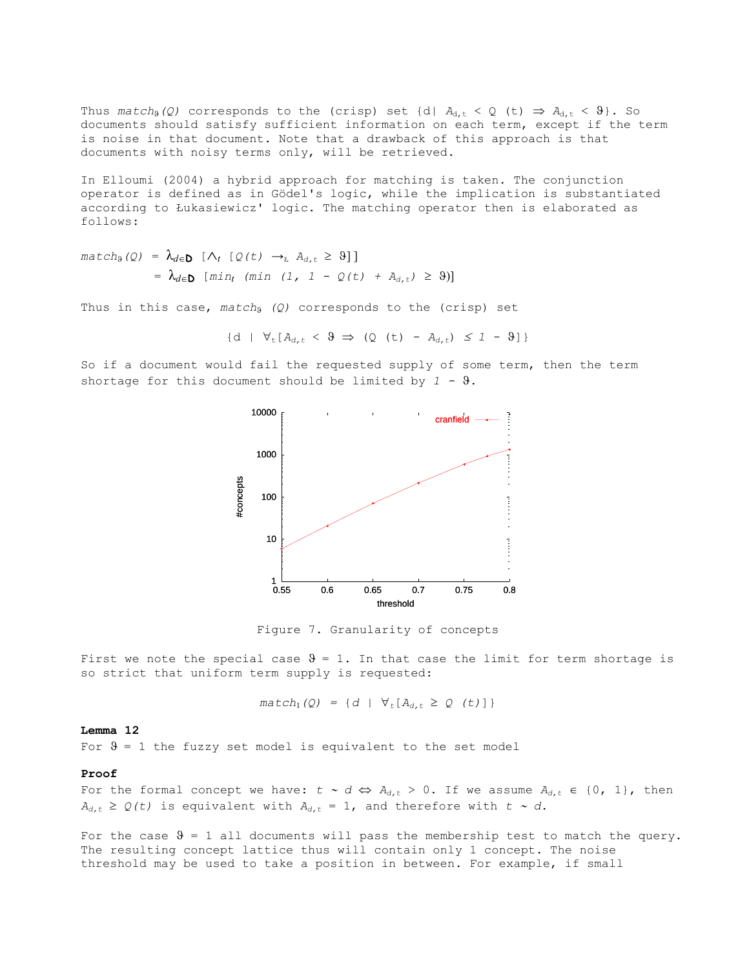Thus match<sub>3</sub>(Q) corresponds to the (crisp) set {d|  $A_{d,t}$  < Q (t)  $\Rightarrow$   $A_{d,t}$  <  $\theta$ }. So documents should satisfy sufficient information on each term, except if the term is noise in that document. Note that a drawback of this approach is that documents with noisy terms only, will be retrieved.

In Elloumi (2004) a hybrid approach for matching is taken. The conjunction operator is defined as in Gödel's logic, while the implication is substantiated according to Łukasiewicz' logic. The matching operator then is elaborated as follows:

$$
match_{9}(Q) = \lambda_{d \in \mathbf{D}} [\Lambda_{t} [Q(t) \to_{\mathbb{L}} A_{d,t} \ge 9]]
$$
  
=  $\lambda_{d \in \mathbf{D}} [min_{t} (min (1, 1 - Q(t) + A_{d,t}) \ge 9)]$ 

Thus in this case, match<sub>3</sub> (Q) corresponds to the (crisp) set

 $\{d \mid \forall_{t} [A_{d,t} < 9 \Rightarrow (Q(t) - A_{d,t}) \leq 1 - 9] \}$ 

So if a document would fail the requested supply of some term, then the term shortage for this document should be limited by  $1 - 9$ .



Figure 7. Granularity of concepts

First we note the special case  $9 = 1$ . In that case the limit for term shortage is so strict that uniform term supply is requested:

 $match_1(Q) = \{d \mid \forall_t [A_{d,t} \geq Q(t)]\}$ 

## Lemma 12

For  $9 = 1$  the fuzzy set model is equivalent to the set model

## Proof

For the formal concept we have:  $t \sim d \Leftrightarrow A_{d,t} > 0$ . If we assume  $A_{d,t} \in \{0, 1\}$ , then  $A_{d,t} \ge Q(t)$  is equivalent with  $A_{d,t} = 1$ , and therefore with  $t \sim d$ .

For the case  $9 = 1$  all documents will pass the membership test to match the query. The resulting concept lattice thus will contain only 1 concept. The noise threshold may be used to take a position in between. For example, if small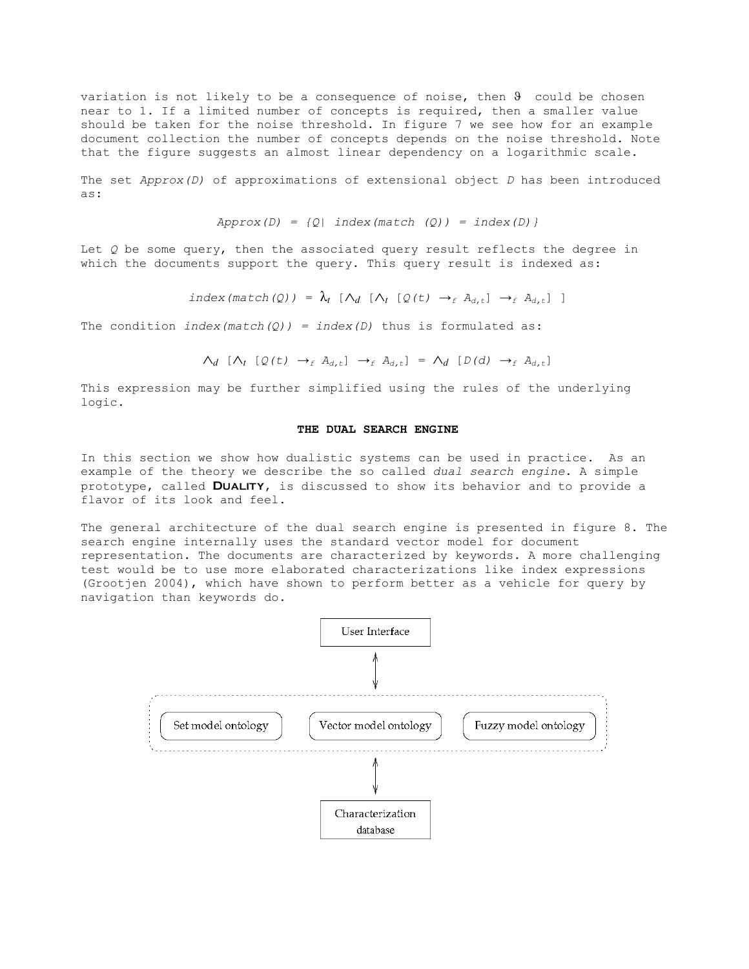variation is not likely to be a consequence of noise, then 9 could be chosen near to 1. If a limited number of concepts is required, then a smaller value should be taken for the noise threshold. In figure 7 we see how for an example document collection the number of concepts depends on the noise threshold. Note that the figure suggests an almost linear dependency on a logarithmic scale.

The set  $Approx(D)$  of approximations of extensional object  $D$  has been introduced as:

 $Approx(D) = {Q | index(match (Q)) = index(D)}$ 

Let  $Q$  be some query, then the associated query result reflects the degree in which the documents support the query. This query result is indexed as:

index(match(Q)) =  $\lambda_t$  [ $\Lambda_d$  [ $\Lambda_t$  [Q(t)  $\rightarrow_f$   $A_{d,t}$ ]  $\rightarrow_f$   $A_{d,t}$ ] ]

The condition index(match(Q)) = index(D) thus is formulated as:

$$
\Lambda_d \ [\Lambda_t \ [\mathcal{Q}(t) \to_f A_{d,t}] \to_f A_{d,t}] = \Lambda_d \ [D(d) \to_f A_{d,t}]
$$

This expression may be further simplified using the rules of the underlying logic.

#### THE DUAL SEARCH ENGINE

In this section we show how dualistic systems can be used in practice. As an example of the theory we describe the so called dual search engine. A simple prototype, called DUALITY, is discussed to show its behavior and to provide a flavor of its look and feel.

The general architecture of the dual search engine is presented in figure 8. The search engine internally uses the standard vector model for document representation. The documents are characterized by keywords. A more challenging test would be to use more elaborated characterizations like index expressions (Grootjen 2004), which have shown to perform better as a vehicle for query by navigation than keywords do.

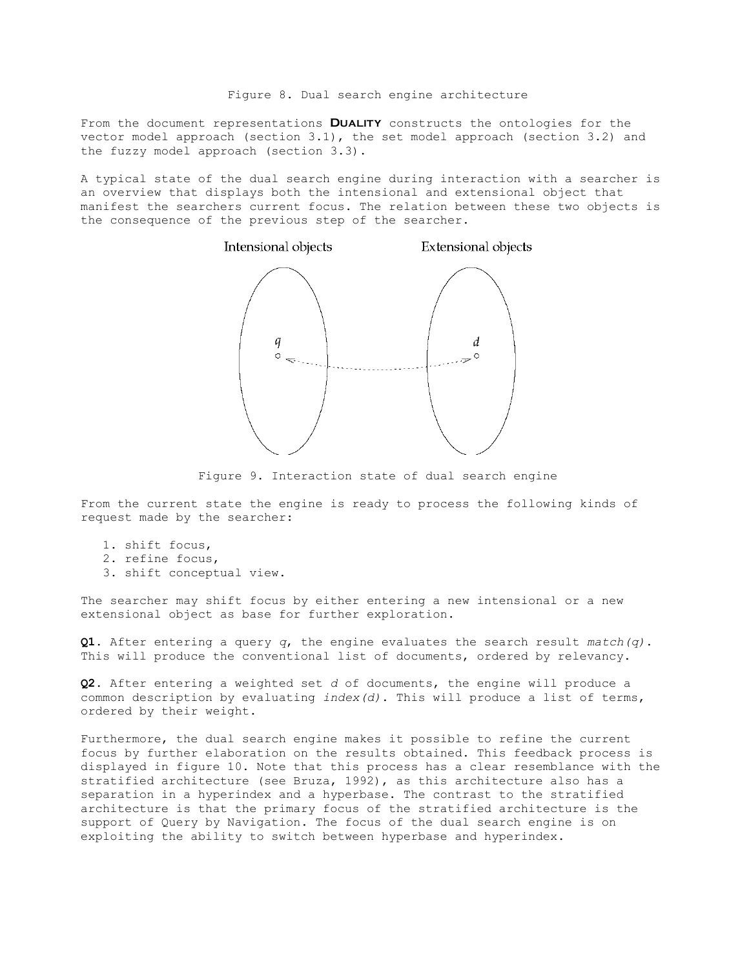From the document representations **DUALITY** constructs the ontologies for the vector model approach (section 3.1), the set model approach (section 3.2) and the fuzzy model approach (section 3.3).

A typical state of the dual search engine during interaction with a searcher is an overview that displays both the intensional and extensional object that manifest the searchers current focus. The relation between these two objects is the consequence of the previous step of the searcher.



Figure 9. Interaction state of dual search engine

From the current state the engine is ready to process the following kinds of request made by the searcher:

- 1. shift focus,
- 2. refine focus,
- 3. shift conceptual view.

The searcher may shift focus by either entering a new intensional or a new extensional object as base for further exploration.

**Q1.** After entering a query  $q$ , the engine evaluates the search result match(q). This will produce the conventional list of documents, ordered by relevancy.

Q2. After entering a weighted set d of documents, the engine will produce a common description by evaluating index(d). This will produce a list of terms, ordered by their weight.

Furthermore, the dual search engine makes it possible to refine the current focus by further elaboration on the results obtained. This feedback process is displayed in figure 10. Note that this process has a clear resemblance with the stratified architecture (see Bruza, 1992), as this architecture also has a separation in a hyperindex and a hyperbase. The contrast to the stratified architecture is that the primary focus of the stratified architecture is the support of Query by Navigation. The focus of the dual search engine is on exploiting the ability to switch between hyperbase and hyperindex.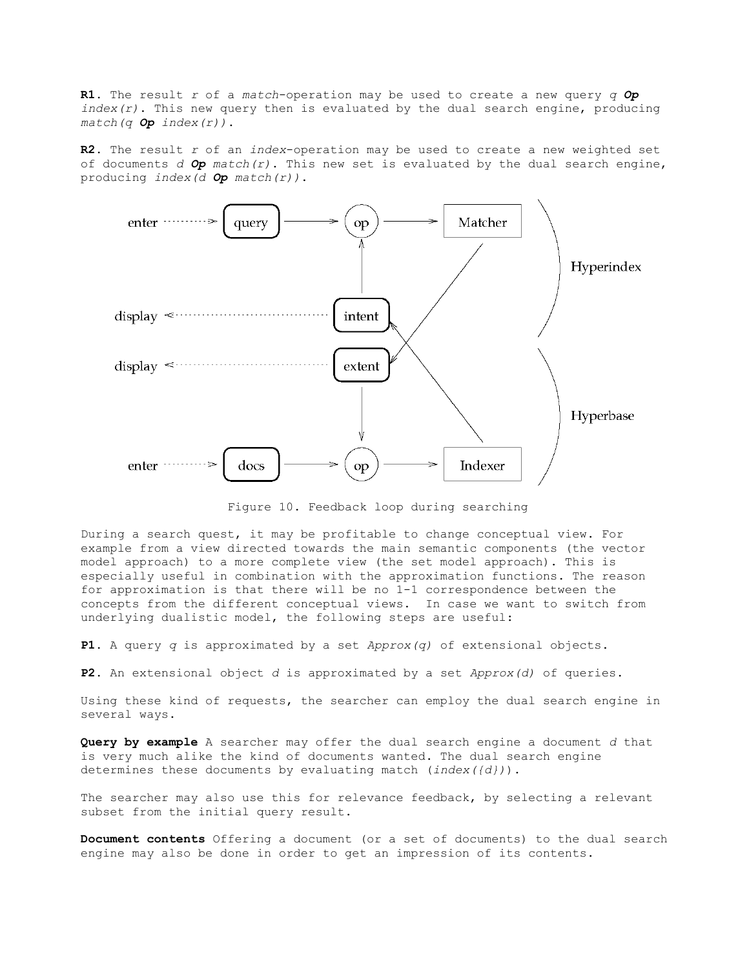R1. The result r of a match-operation may be used to create a new query  $q$  Op  $index(r)$ . This new query then is evaluated by the dual search engine, producing match(q  $Op$  index( $r$ )).

R2. The result  $r$  of an index-operation may be used to create a new weighted set of documents d  $Op$  match(r). This new set is evaluated by the dual search engine, producing index(d  $Op$  match(r)).



Figure 10. Feedback loop during searching

During a search quest, it may be profitable to change conceptual view. For example from a view directed towards the main semantic components (the vector model approach) to a more complete view (the set model approach). This is especially useful in combination with the approximation functions. The reason for approximation is that there will be no 1-1 correspondence between the concepts from the different conceptual views. In case we want to switch from underlying dualistic model, the following steps are useful:

P1. A query  $q$  is approximated by a set  $Approx(q)$  of extensional objects.

P2. An extensional object  $d$  is approximated by a set  $Approx(d)$  of queries.

Using these kind of requests, the searcher can employ the dual search engine in several ways.

Query by example A searcher may offer the dual search engine a document d that is very much alike the kind of documents wanted. The dual search engine determines these documents by evaluating match  $(index/(d)))$ .

The searcher may also use this for relevance feedback, by selecting a relevant subset from the initial query result.

Document contents Offering a document (or a set of documents) to the dual search engine may also be done in order to get an impression of its contents.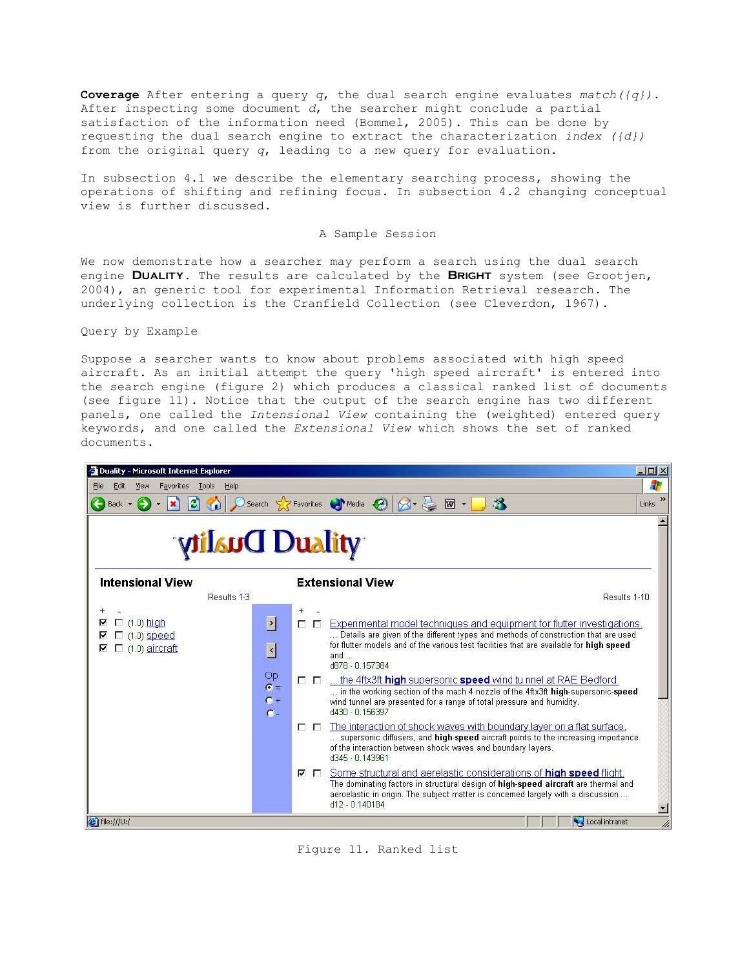Coverage After entering a query  $q$ , the dual search engine evaluates match({ $q$ }). After inspecting some document  $d$ , the searcher might conclude a partial satisfaction of the information need (Bommel, 2005). This can be done by requesting the dual search engine to extract the characterization index  $({d})$ from the original query  $q$ , leading to a new query for evaluation.

In subsection 4.1 we describe the elementary searching process, showing the operations of shifting and refining focus. In subsection 4.2 changing conceptual view is further discussed.

# A Sample Session

We now demonstrate how a searcher may perform a search using the dual search engine DUALITY. The results are calculated by the BRIGHT system (see Grootjen, 2004), an generic tool for experimental Information Retrieval research. The underlying collection is the Cranfield Collection (see Cleverdon, 1967).

# Query by Example

Suppose a searcher wants to know about problems associated with high speed aircraft. As an initial attempt the query 'high speed aircraft' is entered into the search engine (figure 2) which produces a classical ranked list of documents (see figure 11). Notice that the output of the search engine has two different panels, one called the Intensional View containing the (weighted) entered query keywords, and one called the Extensional View which shows the set of ranked documents.



Figure 11. Ranked list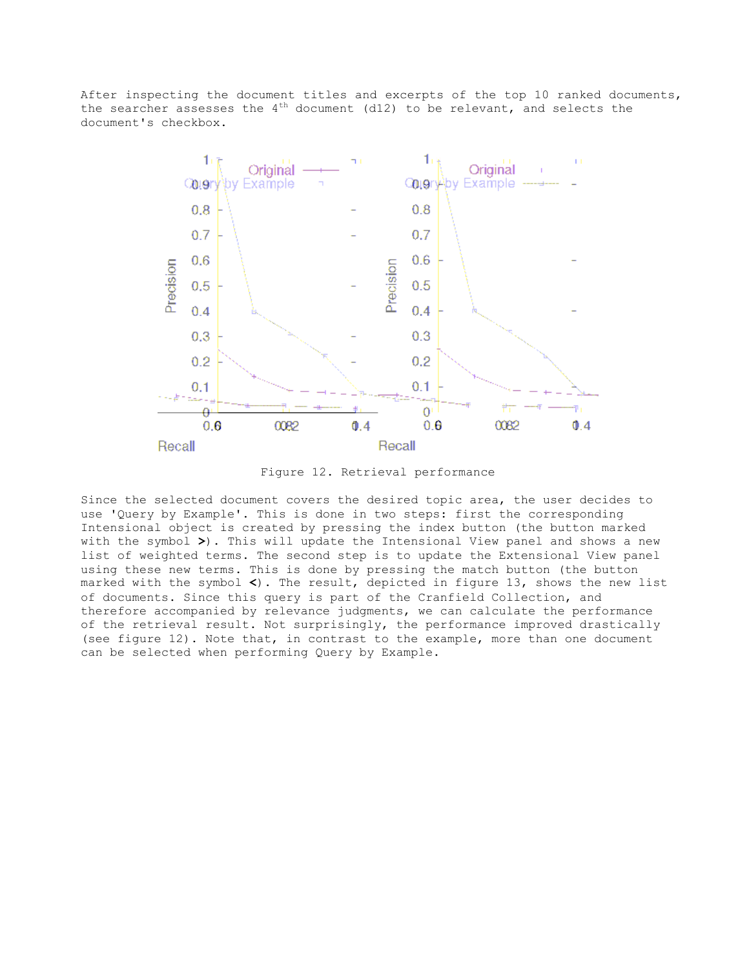After inspecting the document titles and excerpts of the top 10 ranked documents, the searcher assesses the  $4<sup>th</sup>$  document (d12) to be relevant, and selects the document's checkbox.



Figure 12. Retrieval performance

Since the selected document covers the desired topic area, the user decides to use 'Query by Example'. This is done in two steps: first the corresponding Intensional object is created by pressing the index button (the button marked with the symbol >). This will update the Intensional View panel and shows a new list of weighted terms. The second step is to update the Extensional View panel using these new terms. This is done by pressing the match button (the button marked with the symbol <). The result, depicted in figure 13, shows the new list of documents. Since this query is part of the Cranfield Collection, and therefore accompanied by relevance judgments, we can calculate the performance of the retrieval result. Not surprisingly, the performance improved drastically (see figure 12). Note that, in contrast to the example, more than one document can be selected when performing Query by Example.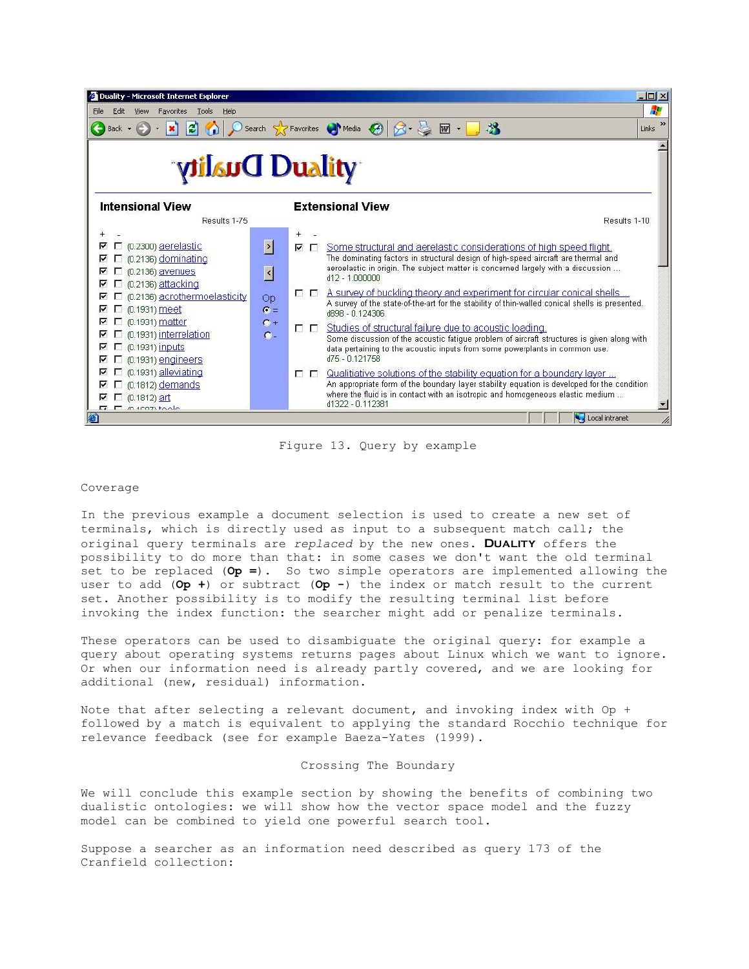

Figure 13. Query by example

#### Coverage

In the previous example a document selection is used to create a new set of terminals, which is directly used as input to a subsequent match call; the original query terminals are replaced by the new ones. DUALITY offers the possibility to do more than that: in some cases we don't want the old terminal set to be replaced  $(Op =)$ . So two simple operators are implemented allowing the user to add  $(Op +)$  or subtract  $(Op -)$  the index or match result to the current set. Another possibility is to modify the resulting terminal list before invoking the index function: the searcher might add or penalize terminals.

These operators can be used to disambiguate the original query: for example a query about operating systems returns pages about Linux which we want to ignore. Or when our information need is already partly covered, and we are looking for additional (new, residual) information.

Note that after selecting a relevant document, and invoking index with Op + followed by a match is equivalent to applying the standard Rocchio technique for relevance feedback (see for example Baeza-Yates (1999).

# Crossing The Boundary

We will conclude this example section by showing the benefits of combining two dualistic ontologies: we will show how the vector space model and the fuzzy model can be combined to yield one powerful search tool.

Suppose a searcher as an information need described as query 173 of the Cranfield collection: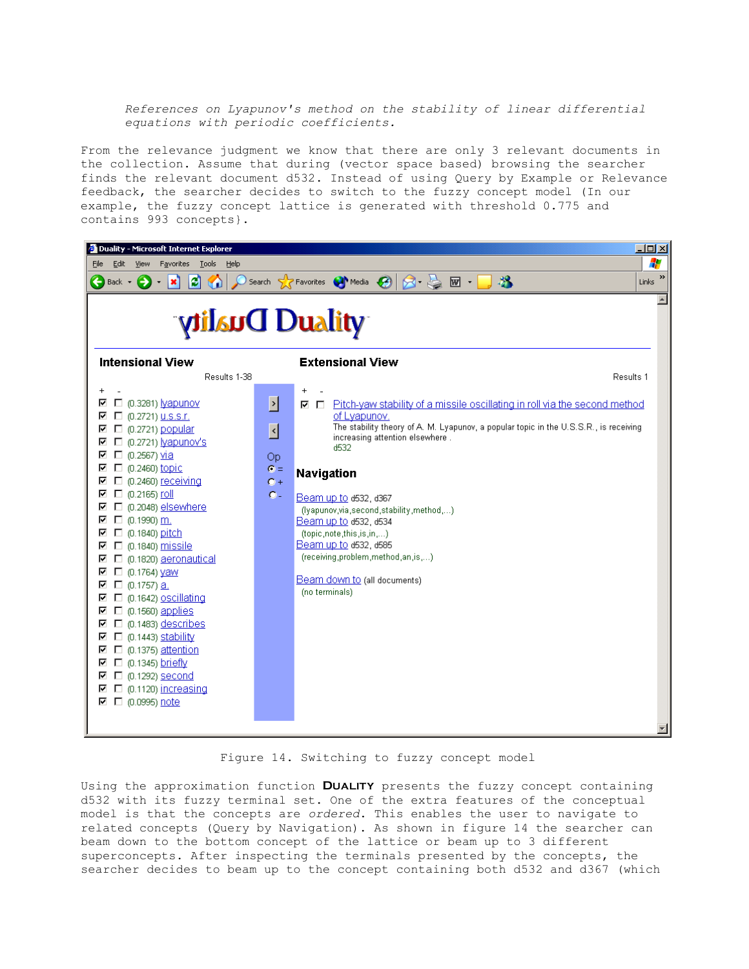References on Lyapunov's method on the stability of linear differential equations with periodic coefficients.

From the relevance judgment we know that there are only 3 relevant documents in the collection. Assume that during (vector space based) browsing the searcher finds the relevant document d532. Instead of using Query by Example or Relevance feedback, the searcher decides to switch to the fuzzy concept model (In our example, the fuzzy concept lattice is generated with threshold 0.775 and contains 993 concepts}.



Figure 14. Switching to fuzzy concept model

Using the approximation function DUALITY presents the fuzzy concept containing d532 with its fuzzy terminal set. One of the extra features of the conceptual model is that the concepts are ordered. This enables the user to navigate to related concepts (Query by Navigation). As shown in figure 14 the searcher can beam down to the bottom concept of the lattice or beam up to 3 different superconcepts. After inspecting the terminals presented by the concepts, the searcher decides to beam up to the concept containing both d532 and d367 (which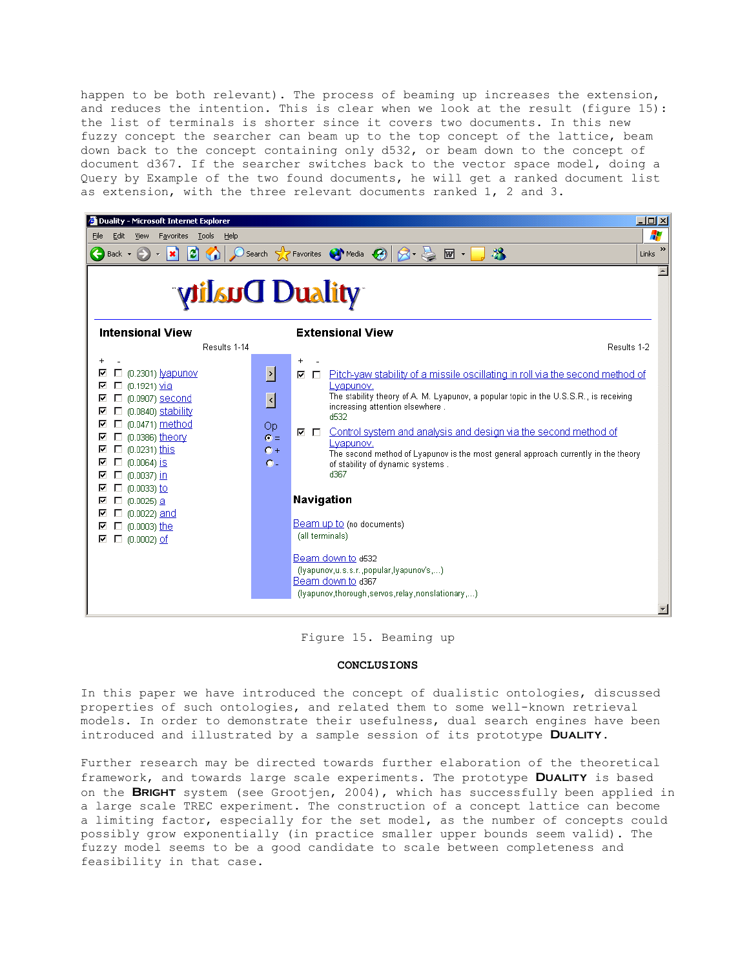happen to be both relevant). The process of beaming up increases the extension, and reduces the intention. This is clear when we look at the result (figure 15): the list of terminals is shorter since it covers two documents. In this new fuzzy concept the searcher can beam up to the top concept of the lattice, beam down back to the concept containing only d532, or beam down to the concept of document d367. If the searcher switches back to the vector space model, doing a Query by Example of the two found documents, he will get a ranked document list as extension, with the three relevant documents ranked 1, 2 and 3.



Figure 15. Beaming up

## CONCLUSIONS

In this paper we have introduced the concept of dualistic ontologies, discussed properties of such ontologies, and related them to some well-known retrieval models. In order to demonstrate their usefulness, dual search engines have been introduced and illustrated by a sample session of its prototype DUALITY.

Further research may be directed towards further elaboration of the theoretical framework, and towards large scale experiments. The prototype DUALITY is based on the BRIGHT system (see Grootjen, 2004), which has successfully been applied in a large scale TREC experiment. The construction of a concept lattice can become a limiting factor, especially for the set model, as the number of concepts could possibly grow exponentially (in practice smaller upper bounds seem valid). The fuzzy model seems to be a good candidate to scale between completeness and feasibility in that case.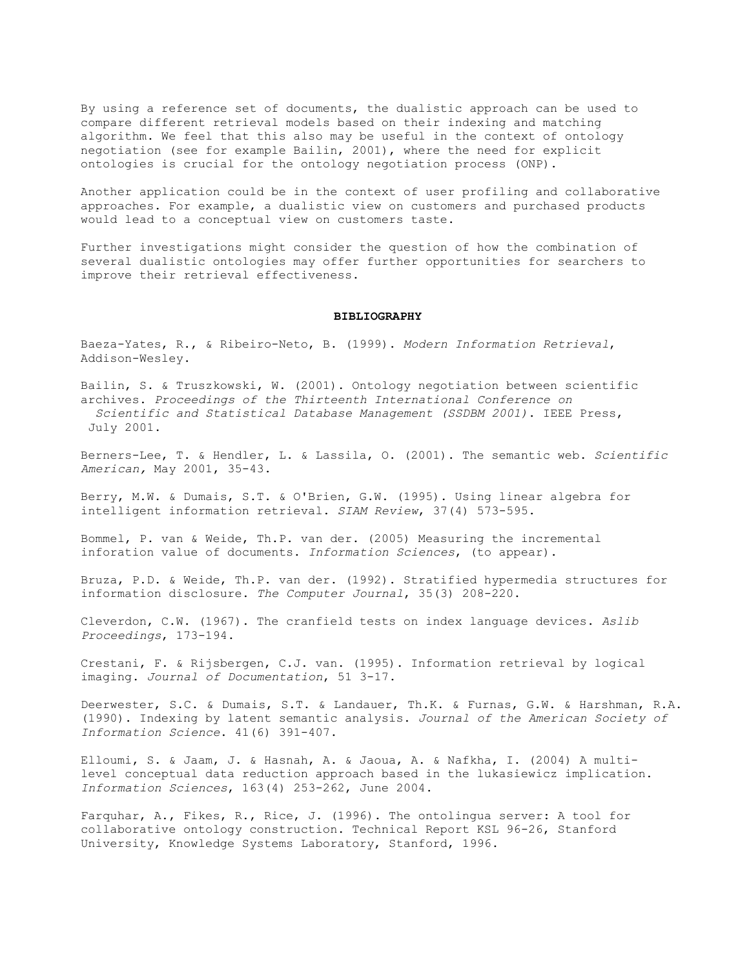By using a reference set of documents, the dualistic approach can be used to compare different retrieval models based on their indexing and matching algorithm. We feel that this also may be useful in the context of ontology negotiation (see for example Bailin, 2001), where the need for explicit ontologies is crucial for the ontology negotiation process (ONP).

Another application could be in the context of user profiling and collaborative approaches. For example, a dualistic view on customers and purchased products would lead to a conceptual view on customers taste.

Further investigations might consider the question of how the combination of several dualistic ontologies may offer further opportunities for searchers to improve their retrieval effectiveness.

#### BIBLIOGRAPHY

Baeza-Yates, R., & Ribeiro-Neto, B. (1999). Modern Information Retrieval, Addison-Wesley.

Bailin, S. & Truszkowski, W. (2001). Ontology negotiation between scientific archives. Proceedings of the Thirteenth International Conference on Scientific and Statistical Database Management (SSDBM 2001). IEEE Press, July 2001.

Berners-Lee, T. & Hendler, L. & Lassila, O. (2001). The semantic web. Scientific American, May 2001, 35-43.

Berry, M.W. & Dumais, S.T. & O'Brien, G.W. (1995). Using linear algebra for intelligent information retrieval. SIAM Review, 37(4) 573-595.

Bommel, P. van & Weide, Th.P. van der. (2005) Measuring the incremental inforation value of documents. Information Sciences, (to appear).

Bruza, P.D. & Weide, Th.P. van der. (1992). Stratified hypermedia structures for information disclosure. The Computer Journal, 35(3) 208-220.

Cleverdon, C.W. (1967). The cranfield tests on index language devices. Aslib Proceedings, 173-194.

Crestani, F. & Rijsbergen, C.J. van. (1995). Information retrieval by logical imaging. Journal of Documentation, 51 3-17.

Deerwester, S.C. & Dumais, S.T. & Landauer, Th.K. & Furnas, G.W. & Harshman, R.A. (1990). Indexing by latent semantic analysis. Journal of the American Society of Information Science. 41(6) 391-407.

Elloumi, S. & Jaam, J. & Hasnah, A. & Jaoua, A. & Nafkha, I. (2004) A multilevel conceptual data reduction approach based in the lukasiewicz implication. Information Sciences, 163(4) 253-262, June 2004.

Farquhar, A., Fikes, R., Rice, J. (1996). The ontolingua server: A tool for collaborative ontology construction. Technical Report KSL 96-26, Stanford University, Knowledge Systems Laboratory, Stanford, 1996.